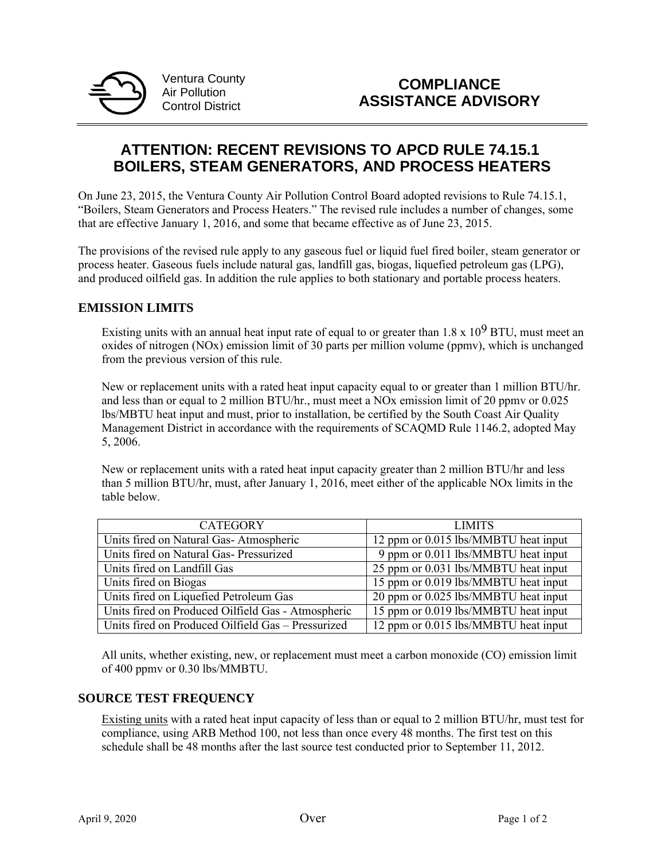

Ventura County Air Pollution Control District

# **ATTENTION: RECENT REVISIONS TO APCD RULE 74.15.1 BOILERS, STEAM GENERATORS, AND PROCESS HEATERS**

On June 23, 2015, the Ventura County Air Pollution Control Board adopted revisions to Rule 74.15.1, "Boilers, Steam Generators and Process Heaters." The revised rule includes a number of changes, some that are effective January 1, 2016, and some that became effective as of June 23, 2015.

The provisions of the revised rule apply to any gaseous fuel or liquid fuel fired boiler, steam generator or process heater. Gaseous fuels include natural gas, landfill gas, biogas, liquefied petroleum gas (LPG), and produced oilfield gas. In addition the rule applies to both stationary and portable process heaters.

# **EMISSION LIMITS**

Existing units with an annual heat input rate of equal to or greater than  $1.8 \times 10^9$  BTU, must meet an oxides of nitrogen (NOx) emission limit of 30 parts per million volume (ppmv), which is unchanged from the previous version of this rule.

New or replacement units with a rated heat input capacity equal to or greater than 1 million BTU/hr. and less than or equal to 2 million BTU/hr., must meet a NOx emission limit of 20 ppmv or 0.025 lbs/MBTU heat input and must, prior to installation, be certified by the South Coast Air Quality Management District in accordance with the requirements of SCAQMD Rule 1146.2, adopted May 5, 2006.

New or replacement units with a rated heat input capacity greater than 2 million BTU/hr and less than 5 million BTU/hr, must, after January 1, 2016, meet either of the applicable NOx limits in the table below.

| <b>CATEGORY</b>                                    | <b>LIMITS</b>                                    |
|----------------------------------------------------|--------------------------------------------------|
| Units fired on Natural Gas-Atmospheric             | 12 ppm or 0.015 lbs/MMBTU heat input             |
| Units fired on Natural Gas- Pressurized            | 9 ppm or $\overline{0.011}$ lbs/MMBTU heat input |
| Units fired on Landfill Gas                        | 25 ppm or 0.031 lbs/MMBTU heat input             |
| Units fired on Biogas                              | 15 ppm or 0.019 lbs/MMBTU heat input             |
| Units fired on Liquefied Petroleum Gas             | 20 ppm or 0.025 lbs/MMBTU heat input             |
| Units fired on Produced Oilfield Gas - Atmospheric | 15 ppm or 0.019 lbs/MMBTU heat input             |
| Units fired on Produced Oilfield Gas – Pressurized | 12 ppm or 0.015 lbs/MMBTU heat input             |

All units, whether existing, new, or replacement must meet a carbon monoxide (CO) emission limit of 400 ppmv or 0.30 lbs/MMBTU.

#### **SOURCE TEST FREQUENCY**

Existing units with a rated heat input capacity of less than or equal to 2 million BTU/hr, must test for compliance, using ARB Method 100, not less than once every 48 months. The first test on this schedule shall be 48 months after the last source test conducted prior to September 11, 2012.